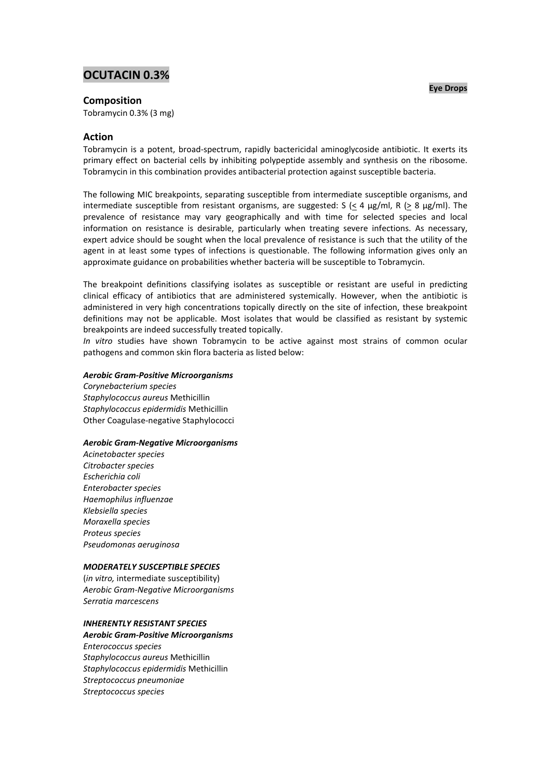# **OCUTACIN 0.3%**

### **Composition**

Tobramycin 0.3% (3 mg)

## **Action**

Tobramycin is a potent, broad-spectrum, rapidly bactericidal aminoglycoside antibiotic. It exerts its primary effect on bacterial cells by inhibiting polypeptide assembly and synthesis on the ribosome. Tobramycin in this combination provides antibacterial protection against susceptible bacteria.

The following MIC breakpoints, separating susceptible from intermediate susceptible organisms, and intermediate susceptible from resistant organisms, are suggested: S ( $\leq$  4  $\mu$ g/ml, R ( $\geq$  8  $\mu$ g/ml). The prevalence of resistance may vary geographically and with time for selected species and local information on resistance is desirable, particularly when treating severe infections. As necessary, expert advice should be sought when the local prevalence of resistance is such that the utility of the agent in at least some types of infections is questionable. The following information gives only an approximate guidance on probabilities whether bacteria will be susceptible to Tobramycin.

The breakpoint definitions classifying isolates as susceptible or resistant are useful in predicting clinical efficacy of antibiotics that are administered systemically. However, when the antibiotic is administered in very high concentrations topically directly on the site of infection, these breakpoint definitions may not be applicable. Most isolates that would be classified as resistant by systemic breakpoints are indeed successfully treated topically.

*In vitro* studies have shown Tobramycin to be active against most strains of common ocular pathogens and common skin flora bacteria as listed below:

#### *Aerobic Gram-Positive Microorganisms*

*Corynebacterium species Staphylococcus aureus* Methicillin *Staphylococcus epidermidis* Methicillin Other Coagulase-negative Staphylococci

#### *Aerobic Gram-Negative Microorganisms*

*Acinetobacter species Citrobacter species Escherichia coli Enterobacter species Haemophilus influenzae Klebsiella species Moraxella species Proteus species Pseudomonas aeruginosa*

#### *MODERATELY SUSCEPTIBLE SPECIES*

(*in vitro,* intermediate susceptibility) *Aerobic Gram-Negative Microorganisms Serratia marcescens*

#### *INHERENTLY RESISTANT SPECIES*

# *Aerobic Gram-Positive Microorganisms*

*Enterococcus species Staphylococcus aureus* Methicillin *Staphylococcus epidermidis* Methicillin *Streptococcus pneumoniae Streptococcus species*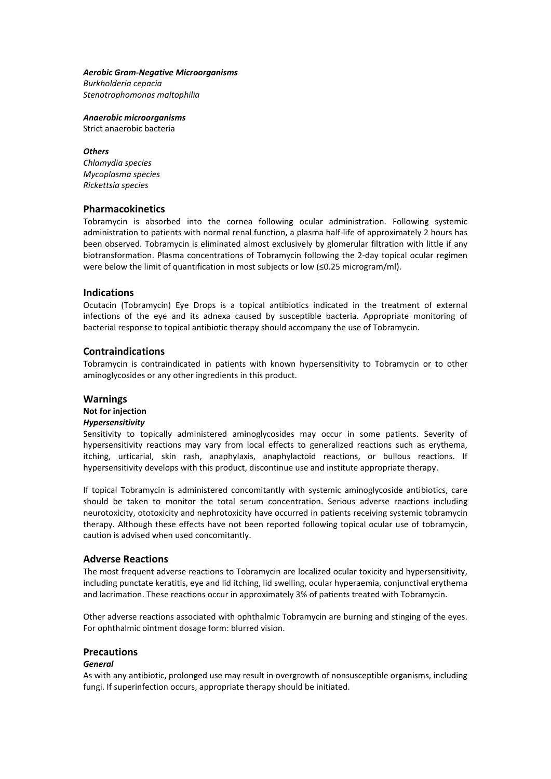#### *Aerobic Gram-Negative Microorganisms*

*Burkholderia cepacia Stenotrophomonas maltophilia*

*Anaerobic microorganisms*

Strict anaerobic bacteria

#### *Others*

*Chlamydia species Mycoplasma species Rickettsia species*

#### **Pharmacokinetics**

Tobramycin is absorbed into the cornea following ocular administration. Following systemic administration to patients with normal renal function, a plasma half-life of approximately 2 hours has been observed. Tobramycin is eliminated almost exclusively by glomerular filtration with little if any biotransformation. Plasma concentrations of Tobramycin following the 2-day topical ocular regimen were below the limit of quantification in most subjects or low (≤0.25 microgram/ml).

#### **Indications**

Ocutacin (Tobramycin) Eye Drops is a topical antibiotics indicated in the treatment of external infections of the eye and its adnexa caused by susceptible bacteria. Appropriate monitoring of bacterial response to topical antibiotic therapy should accompany the use of Tobramycin.

## **Contraindications**

Tobramycin is contraindicated in patients with known hypersensitivity to Tobramycin or to other aminoglycosides or any other ingredients in this product.

#### **Warnings**

#### **Not for injection**

#### *Hypersensitivity*

Sensitivity to topically administered aminoglycosides may occur in some patients. Severity of hypersensitivity reactions may vary from local effects to generalized reactions such as erythema, itching, urticarial, skin rash, anaphylaxis, anaphylactoid reactions, or bullous reactions. If hypersensitivity develops with this product, discontinue use and institute appropriate therapy.

If topical Tobramycin is administered concomitantly with systemic aminoglycoside antibiotics, care should be taken to monitor the total serum concentration. Serious adverse reactions including neurotoxicity, ototoxicity and nephrotoxicity have occurred in patients receiving systemic tobramycin therapy. Although these effects have not been reported following topical ocular use of tobramycin, caution is advised when used concomitantly.

#### **Adverse Reactions**

The most frequent adverse reactions to Tobramycin are localized ocular toxicity and hypersensitivity, including punctate keratitis, eye and lid itching, lid swelling, ocular hyperaemia, conjunctival erythema and lacrimation. These reactions occur in approximately 3% of patients treated with Tobramycin.

Other adverse reactions associated with ophthalmic Tobramycin are burning and stinging of the eyes. For ophthalmic ointment dosage form: blurred vision.

### **Precautions**

#### *General*

As with any antibiotic, prolonged use may result in overgrowth of nonsusceptible organisms, including fungi. If superinfection occurs, appropriate therapy should be initiated.